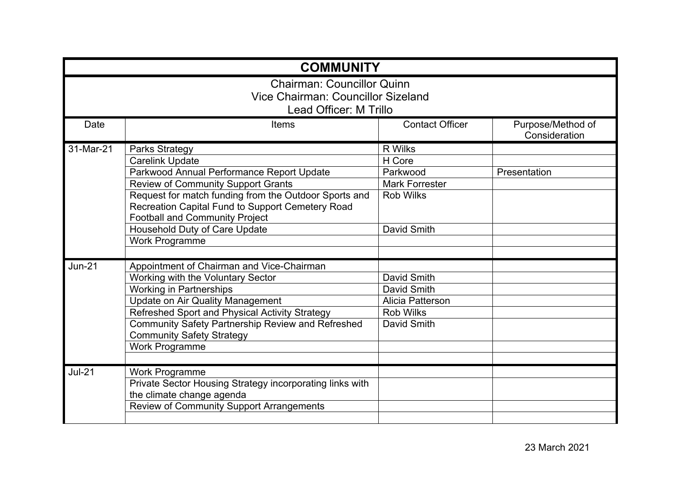| <b>COMMUNITY</b>                   |                                                                                                                                                    |                        |                                    |  |  |
|------------------------------------|----------------------------------------------------------------------------------------------------------------------------------------------------|------------------------|------------------------------------|--|--|
| <b>Chairman: Councillor Quinn</b>  |                                                                                                                                                    |                        |                                    |  |  |
| Vice Chairman: Councillor Sizeland |                                                                                                                                                    |                        |                                    |  |  |
| Lead Officer: M Trillo             |                                                                                                                                                    |                        |                                    |  |  |
| Date                               | Items                                                                                                                                              | <b>Contact Officer</b> | Purpose/Method of<br>Consideration |  |  |
| 31-Mar-21                          | <b>Parks Strategy</b>                                                                                                                              | <b>R</b> Wilks         |                                    |  |  |
|                                    | <b>Carelink Update</b>                                                                                                                             | H Core                 |                                    |  |  |
|                                    | Parkwood Annual Performance Report Update                                                                                                          | Parkwood               | Presentation                       |  |  |
|                                    | <b>Review of Community Support Grants</b>                                                                                                          | <b>Mark Forrester</b>  |                                    |  |  |
|                                    | Request for match funding from the Outdoor Sports and<br>Recreation Capital Fund to Support Cemetery Road<br><b>Football and Community Project</b> | <b>Rob Wilks</b>       |                                    |  |  |
|                                    | Household Duty of Care Update                                                                                                                      | David Smith            |                                    |  |  |
|                                    | <b>Work Programme</b>                                                                                                                              |                        |                                    |  |  |
|                                    |                                                                                                                                                    |                        |                                    |  |  |
| $Jun-21$                           | Appointment of Chairman and Vice-Chairman                                                                                                          |                        |                                    |  |  |
|                                    | Working with the Voluntary Sector                                                                                                                  | David Smith            |                                    |  |  |
|                                    | <b>Working in Partnerships</b>                                                                                                                     | David Smith            |                                    |  |  |
|                                    | <b>Update on Air Quality Management</b>                                                                                                            | Alicia Patterson       |                                    |  |  |
|                                    | Refreshed Sport and Physical Activity Strategy                                                                                                     | <b>Rob Wilks</b>       |                                    |  |  |
|                                    | Community Safety Partnership Review and Refreshed<br><b>Community Safety Strategy</b>                                                              | David Smith            |                                    |  |  |
|                                    | <b>Work Programme</b>                                                                                                                              |                        |                                    |  |  |
|                                    |                                                                                                                                                    |                        |                                    |  |  |
| <b>Jul-21</b>                      | <b>Work Programme</b>                                                                                                                              |                        |                                    |  |  |
|                                    | Private Sector Housing Strategy incorporating links with                                                                                           |                        |                                    |  |  |
|                                    | the climate change agenda                                                                                                                          |                        |                                    |  |  |
|                                    | Review of Community Support Arrangements                                                                                                           |                        |                                    |  |  |
|                                    |                                                                                                                                                    |                        |                                    |  |  |